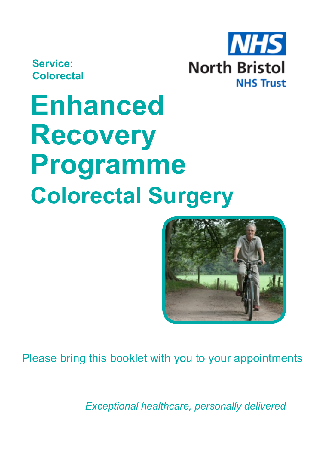**Service: Colorectal**



# **Enhanced Recovery Programme Colorectal Surgery**



Please bring this booklet with you to your appointments

*Exceptional healthcare, personally delivered*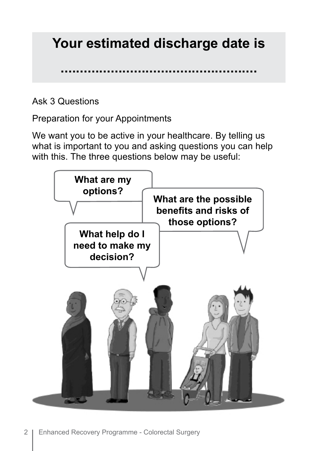### **Your estimated discharge date is**

**...................................................**

Ask 3 Questions

Preparation for your Appointments

We want you to be active in your healthcare. By telling us what is important to you and asking questions you can help with this. The three questions below may be useful:

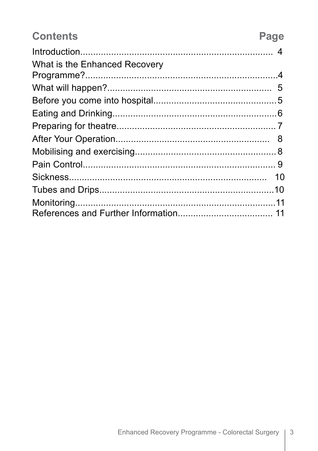| <b>Contents</b>               | Page |
|-------------------------------|------|
|                               |      |
| What is the Enhanced Recovery |      |
|                               |      |
|                               |      |
|                               |      |
|                               |      |
|                               |      |
|                               | 8    |
|                               |      |
|                               |      |
|                               |      |
|                               |      |
|                               |      |
|                               |      |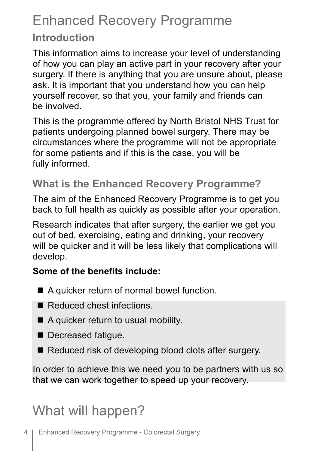# Enhanced Recovery Programme

#### **Introduction**

This information aims to increase your level of understanding of how you can play an active part in your recovery after your surgery. If there is anything that you are unsure about, please ask. It is important that you understand how you can help yourself recover, so that you, your family and friends can be involved.

This is the programme offered by North Bristol NHS Trust for patients undergoing planned bowel surgery. There may be circumstances where the programme will not be appropriate for some patients and if this is the case, you will be fully informed.

#### **What is the Enhanced Recovery Programme?**

The aim of the Enhanced Recovery Programme is to get you back to full health as quickly as possible after your operation.

Research indicates that after surgery, the earlier we get you out of bed, exercising, eating and drinking, your recovery will be quicker and it will be less likely that complications will develop.

#### **Some of the benefits include:**

- $\blacksquare$  A quicker return of normal bowel function.
- Reduced chest infections.
- $\blacksquare$  A quicker return to usual mobility.
- Decreased fatigue.
- $\blacksquare$  Reduced risk of developing blood clots after surgery.

In order to achieve this we need you to be partners with us so that we can work together to speed up your recovery.

# What will happen?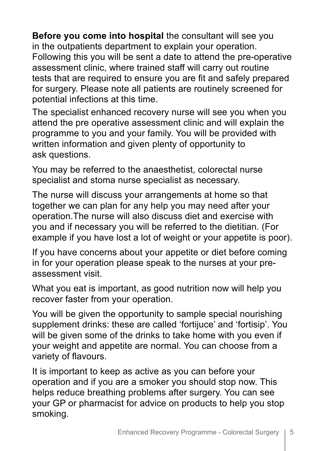**Before you come into hospital** the consultant will see you in the outpatients department to explain your operation. Following this you will be sent a date to attend the pre-operative assessment clinic, where trained staff will carry out routine tests that are required to ensure you are fit and safely prepared for surgery. Please note all patients are routinely screened for potential infections at this time.

The specialist enhanced recovery nurse will see you when you attend the pre operative assessment clinic and will explain the programme to you and your family. You will be provided with written information and given plenty of opportunity to ask questions.

You may be referred to the anaesthetist, colorectal nurse specialist and stoma nurse specialist as necessary.

The nurse will discuss your arrangements at home so that together we can plan for any help you may need after your operation.The nurse will also discuss diet and exercise with you and if necessary you will be referred to the dietitian. (For example if you have lost a lot of weight or your appetite is poor).

If you have concerns about your appetite or diet before coming in for your operation please speak to the nurses at your preassessment visit.

What you eat is important, as good nutrition now will help you recover faster from your operation.

You will be given the opportunity to sample special nourishing supplement drinks: these are called 'fortijuce' and 'fortisip'. You will be given some of the drinks to take home with you even if your weight and appetite are normal. You can choose from a variety of flavours.

It is important to keep as active as you can before your operation and if you are a smoker you should stop now. This helps reduce breathing problems after surgery. You can see your GP or pharmacist for advice on products to help you stop smoking.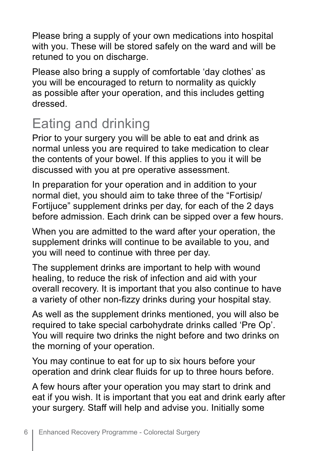Please bring a supply of your own medications into hospital with you. These will be stored safely on the ward and will be retuned to you on discharge.

Please also bring a supply of comfortable 'day clothes' as you will be encouraged to return to normality as quickly as possible after your operation, and this includes getting dressed.

# Eating and drinking

Prior to your surgery you will be able to eat and drink as normal unless you are required to take medication to clear the contents of your bowel. If this applies to you it will be discussed with you at pre operative assessment.

In preparation for your operation and in addition to your normal diet, you should aim to take three of the "Fortisip/ Fortijuce" supplement drinks per day, for each of the 2 days before admission. Each drink can be sipped over a few hours.

When you are admitted to the ward after your operation, the supplement drinks will continue to be available to you, and you will need to continue with three per day.

The supplement drinks are important to help with wound healing, to reduce the risk of infection and aid with your overall recovery. It is important that you also continue to have a variety of other non-fizzy drinks during your hospital stay.

As well as the supplement drinks mentioned, you will also be required to take special carbohydrate drinks called 'Pre Op'. You will require two drinks the night before and two drinks on the morning of your operation.

You may continue to eat for up to six hours before your operation and drink clear fluids for up to three hours before.

A few hours after your operation you may start to drink and eat if you wish. It is important that you eat and drink early after your surgery. Staff will help and advise you. Initially some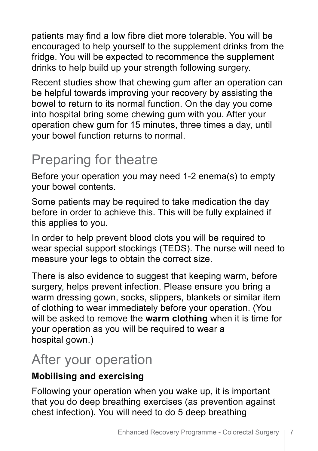patients may find a low fibre diet more tolerable. You will be encouraged to help yourself to the supplement drinks from the fridge. You will be expected to recommence the supplement drinks to help build up your strength following surgery.

Recent studies show that chewing gum after an operation can be helpful towards improving your recovery by assisting the bowel to return to its normal function. On the day you come into hospital bring some chewing gum with you. After your operation chew gum for 15 minutes, three times a day, until your bowel function returns to normal.

# Preparing for theatre

Before your operation you may need 1-2 enema(s) to empty your bowel contents.

Some patients may be required to take medication the day before in order to achieve this. This will be fully explained if this applies to you.

In order to help prevent blood clots you will be required to wear special support stockings (TEDS). The nurse will need to measure your legs to obtain the correct size.

There is also evidence to suggest that keeping warm, before surgery, helps prevent infection. Please ensure you bring a warm dressing gown, socks, slippers, blankets or similar item of clothing to wear immediately before your operation. (You will be asked to remove the **warm clothing** when it is time for your operation as you will be required to wear a hospital gown.)

#### After your operation

#### **Mobilising and exercising**

Following your operation when you wake up, it is important that you do deep breathing exercises (as prevention against chest infection). You will need to do 5 deep breathing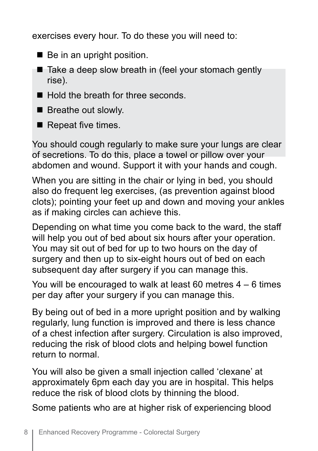exercises every hour. To do these you will need to:

- $\blacksquare$  Be in an upright position.
- $\blacksquare$  Take a deep slow breath in (feel your stomach gently rise).
- Hold the breath for three seconds
- $\blacksquare$  Breathe out slowly.
- $\blacksquare$  Repeat five times.

You should cough regularly to make sure your lungs are clear of secretions. To do this, place a towel or pillow over your abdomen and wound. Support it with your hands and cough.

When you are sitting in the chair or lying in bed, you should also do frequent leg exercises, (as prevention against blood clots); pointing your feet up and down and moving your ankles as if making circles can achieve this.

Depending on what time you come back to the ward, the staff will help you out of bed about six hours after your operation. You may sit out of bed for up to two hours on the day of surgery and then up to six-eight hours out of bed on each subsequent day after surgery if you can manage this.

You will be encouraged to walk at least 60 metres 4 – 6 times per day after your surgery if you can manage this.

By being out of bed in a more upright position and by walking regularly, lung function is improved and there is less chance of a chest infection after surgery. Circulation is also improved, reducing the risk of blood clots and helping bowel function return to normal.

You will also be given a small injection called 'clexane' at approximately 6pm each day you are in hospital. This helps reduce the risk of blood clots by thinning the blood.

Some patients who are at higher risk of experiencing blood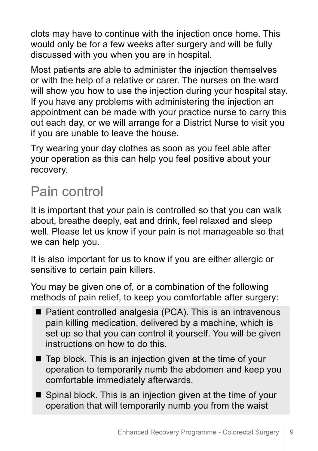clots may have to continue with the injection once home. This would only be for a few weeks after surgery and will be fully discussed with you when you are in hospital.

Most patients are able to administer the injection themselves or with the help of a relative or carer. The nurses on the ward will show you how to use the injection during your hospital stay. If you have any problems with administering the injection an appointment can be made with your practice nurse to carry this out each day, or we will arrange for a District Nurse to visit you if you are unable to leave the house.

Try wearing your day clothes as soon as you feel able after your operation as this can help you feel positive about your recovery.

### Pain control

It is important that your pain is controlled so that you can walk about, breathe deeply, eat and drink, feel relaxed and sleep well. Please let us know if your pain is not manageable so that we can help you.

It is also important for us to know if you are either allergic or sensitive to certain pain killers.

You may be given one of, or a combination of the following methods of pain relief, to keep you comfortable after surgery:

- $\blacksquare$  Patient controlled analgesia (PCA). This is an intravenous pain killing medication, delivered by a machine, which is set up so that you can control it yourself. You will be given instructions on how to do this.
- $\blacksquare$  Tap block. This is an injection given at the time of your operation to temporarily numb the abdomen and keep you comfortable immediately afterwards.
- $\blacksquare$  Spinal block. This is an injection given at the time of your operation that will temporarily numb you from the waist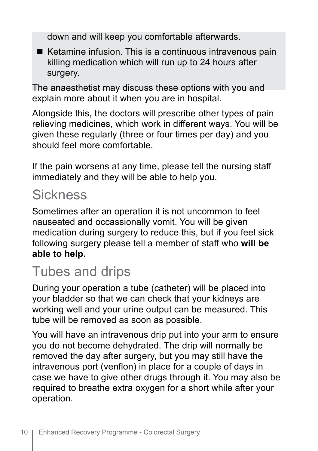down and will keep you comfortable afterwards.

 $\blacksquare$  Ketamine infusion. This is a continuous intravenous pain killing medication which will run up to 24 hours after surgery.

The anaesthetist may discuss these options with you and explain more about it when you are in hospital.

Alongside this, the doctors will prescribe other types of pain relieving medicines, which work in different ways. You will be given these regularly (three or four times per day) and you should feel more comfortable.

If the pain worsens at any time, please tell the nursing staff immediately and they will be able to help you.

#### **Sickness**

Sometimes after an operation it is not uncommon to feel nauseated and occassionally vomit. You will be given medication during surgery to reduce this, but if you feel sick following surgery please tell a member of staff who **will be able to help.**

#### Tubes and drips

During your operation a tube (catheter) will be placed into your bladder so that we can check that your kidneys are working well and your urine output can be measured. This tube will be removed as soon as possible.

You will have an intravenous drip put into your arm to ensure you do not become dehydrated. The drip will normally be removed the day after surgery, but you may still have the intravenous port (venflon) in place for a couple of days in case we have to give other drugs through it. You may also be required to breathe extra oxygen for a short while after your operation.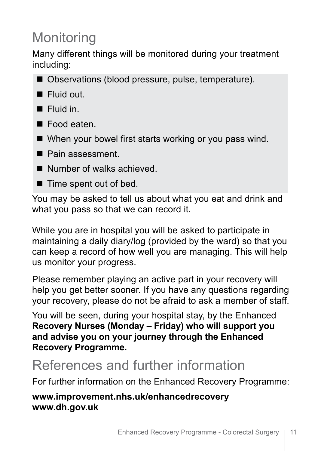# **Monitoring**

Many different things will be monitored during your treatment including:

- Observations (blood pressure, pulse, temperature).
- **n** Fluid out.
- $\blacksquare$  Fluid in.
- Food eaten.
- $\blacksquare$  When your bowel first starts working or you pass wind.
- Pain assessment.
- $\blacksquare$  Number of walks achieved.
- $\blacksquare$  Time spent out of bed.

You may be asked to tell us about what you eat and drink and what you pass so that we can record it.

While you are in hospital you will be asked to participate in maintaining a daily diary/log (provided by the ward) so that you can keep a record of how well you are managing. This will help us monitor your progress.

Please remember playing an active part in your recovery will help you get better sooner. If you have any questions regarding your recovery, please do not be afraid to ask a member of staff.

You will be seen, during your hospital stay, by the Enhanced **Recovery Nurses (Monday – Friday) who will support you and advise you on your journey through the Enhanced Recovery Programme.**

#### References and further information

For further information on the Enhanced Recovery Programme:

**www.improvement.nhs.uk/enhancedrecovery www.dh.gov.uk**